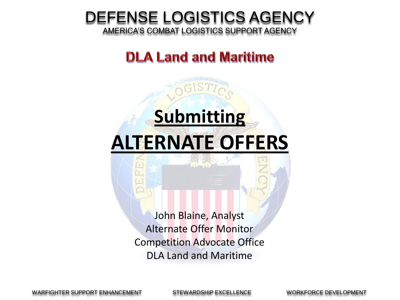#### DEFENSE LOGISTICS AGENCY

AMERICA'S COMBAT LOGISTICS SUPPORT AGENCY

#### **DLA Land and Maritime**

## **Submitting ALTERNATE OFFERS**

John Blaine, Analyst Alternate Offer Monitor Competition Advocate Office DLA Land and Maritime

WARFIGHTER SUPPORT ENHANCEMENT STEWARDSHIP EXCELLENCE WORKFORCE DEVELOPMENT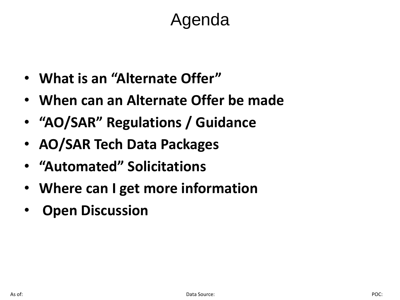### Agenda

- **What is an "Alternate Offer"**
- **When can an Alternate Offer be made**
- **"AO/SAR" Regulations / Guidance**
- **AO/SAR Tech Data Packages**
- **"Automated" Solicitations**
- **Where can I get more information**
- **Open Discussion**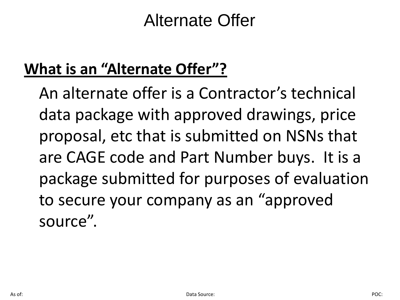#### **What is an "Alternate Offer"?**

An alternate offer is a Contractor's technical data package with approved drawings, price proposal, etc that is submitted on NSNs that are CAGE code and Part Number buys. It is a package submitted for purposes of evaluation to secure your company as an "approved source".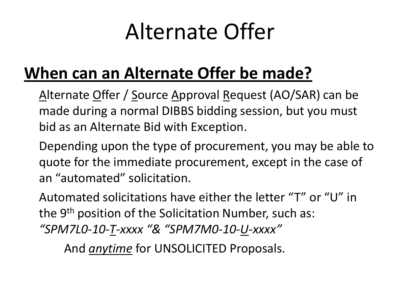### **When can an Alternate Offer be made?**

Alternate Offer / Source Approval Request (AO/SAR) can be made during a normal DIBBS bidding session, but you must bid as an Alternate Bid with Exception.

Depending upon the type of procurement, you may be able to quote for the immediate procurement, except in the case of an "automated" solicitation.

Automated solicitations have either the letter "T" or "U" in the 9<sup>th</sup> position of the Solicitation Number, such as: *"SPM7L0-10-T-xxxx "& "SPM7M0-10-U-xxxx"* 

And *anytime* for UNSOLICITED Proposals.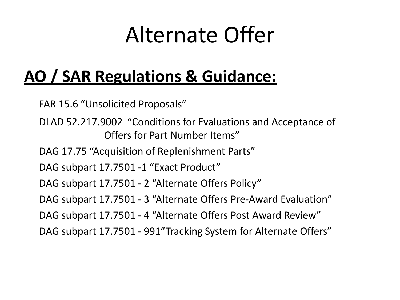### **AO / SAR Regulations & Guidance:**

FAR 15.6 "Unsolicited Proposals"

- DLAD 52.217.9002 "Conditions for Evaluations and Acceptance of Offers for Part Number Items"
- DAG 17.75 "Acquisition of Replenishment Parts"
- DAG subpart 17.7501 -1 "Exact Product"
- DAG subpart 17.7501 2 "Alternate Offers Policy"
- DAG subpart 17.7501 3 "Alternate Offers Pre-Award Evaluation"
- DAG subpart 17.7501 4 "Alternate Offers Post Award Review"
- DAG subpart 17.7501 991"Tracking System for Alternate Offers"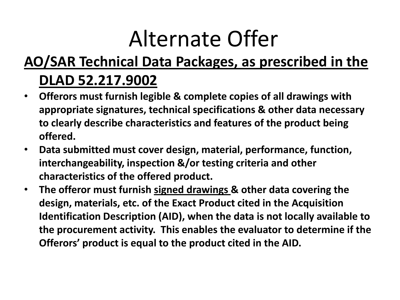#### **AO/SAR Technical Data Packages, as prescribed in the**

#### **DLAD 52.217.9002**

- **Offerors must furnish legible & complete copies of all drawings with appropriate signatures, technical specifications & other data necessary to clearly describe characteristics and features of the product being offered.**
- **Data submitted must cover design, material, performance, function, interchangeability, inspection &/or testing criteria and other characteristics of the offered product.**
- **The offeror must furnish signed drawings & other data covering the design, materials, etc. of the Exact Product cited in the Acquisition Identification Description (AID), when the data is not locally available to the procurement activity. This enables the evaluator to determine if the Offerors' product is equal to the product cited in the AID.**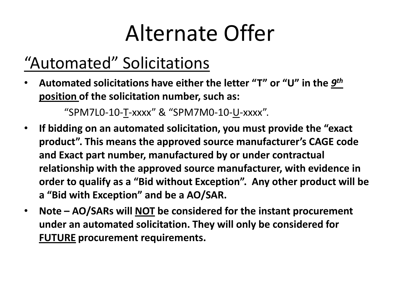### "Automated" Solicitations

• Automated solicitations have either the letter "T" or "U" in the *9<sup>th</sup>* **position of the solicitation number, such as:** 

"SPM7L0-10-T-xxxx" & "SPM7M0-10-U-xxxx".

- **If bidding on an automated solicitation, you must provide the "exact product". This means the approved source manufacturer's CAGE code and Exact part number, manufactured by or under contractual relationship with the approved source manufacturer, with evidence in order to qualify as a "Bid without Exception". Any other product will be a "Bid with Exception" and be a AO/SAR.**
- **Note – AO/SARs will NOT be considered for the instant procurement under an automated solicitation. They will only be considered for FUTURE procurement requirements.**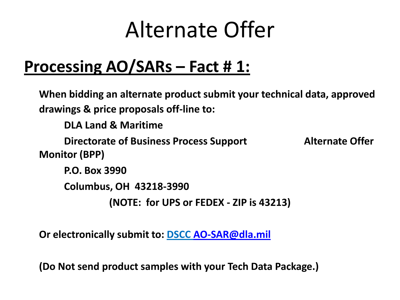### **Processing AO/SARs – Fact # 1:**

**When bidding an alternate product submit your technical data, approved drawings & price proposals off-line to: DLA Land & Maritime Directorate of Business Process Support Alternate Offer Monitor (BPP) P.O. Box 3990 Columbus, OH 43218-3990 (NOTE: for UPS or FEDEX - ZIP is 43213)**

**Or electronically submit to: DSCC [AO-SAR@dla.mil](mailto:AO-SAR@dla.mil)**

**(Do Not send product samples with your Tech Data Package.)**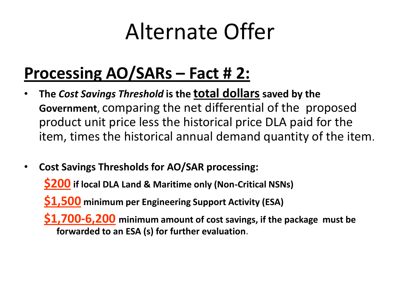### **Processing AO/SARs – Fact # 2:**

- **The** *Cost Savings Threshold* **is the total dollarssaved by the Government**, comparing the net differential of the proposed product unit price less the historical price DLA paid for the item, times the historical annual demand quantity of the item.
- **Cost Savings Thresholds for AO/SAR processing:**

**\$200 if local DLA Land & Maritime only (Non-Critical NSNs)**

**\$1,500 minimum per Engineering Support Activity (ESA)**

**\$1,700-6,200 minimum amount of cost savings, if the package must be forwarded to an ESA (s) for further evaluation.**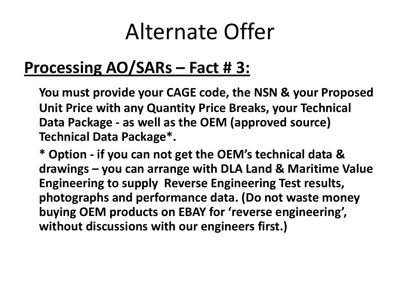### **Processing AO/SARs – Fact # 3:**

**You must provide your CAGE code, the NSN & your Proposed Unit Price with any Quantity Price Breaks, your Technical Data Package - as well as the OEM (approved source) Technical Data Package\*.**

**\* Option - if you can not get the OEM's technical data & drawings – you can arrange with DLA Land & Maritime Value Engineering to supply Reverse Engineering Test results, photographs and performance data. (Do not waste money buying OEM products on EBAY for 'reverse engineering', without discussions with our engineers first.)**